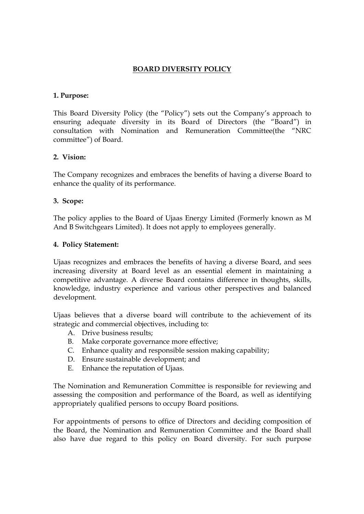# **BOARD DIVERSITY POLICY**

#### **1. Purpose:**

This Board Diversity Policy (the "Policy") sets out the Company's approach to ensuring adequate diversity in its Board of Directors (the "Board") in consultation with Nomination and Remuneration Committee(the "NRC committee") of Board.

## **2. Vision:**

The Company recognizes and embraces the benefits of having a diverse Board to enhance the quality of its performance.

### **3. Scope:**

The policy applies to the Board of Ujaas Energy Limited (Formerly known as M And B Switchgears Limited). It does not apply to employees generally.

#### **4. Policy Statement:**

Ujaas recognizes and embraces the benefits of having a diverse Board, and sees increasing diversity at Board level as an essential element in maintaining a competitive advantage. A diverse Board contains difference in thoughts, skills, knowledge, industry experience and various other perspectives and balanced development.

Ujaas believes that a diverse board will contribute to the achievement of its strategic and commercial objectives, including to:

- A. Drive business results;
- B. Make corporate governance more effective;
- C. Enhance quality and responsible session making capability;
- D. Ensure sustainable development; and
- E. Enhance the reputation of Ujaas.

The Nomination and Remuneration Committee is responsible for reviewing and assessing the composition and performance of the Board, as well as identifying appropriately qualified persons to occupy Board positions.

For appointments of persons to office of Directors and deciding composition of the Board, the Nomination and Remuneration Committee and the Board shall also have due regard to this policy on Board diversity. For such purpose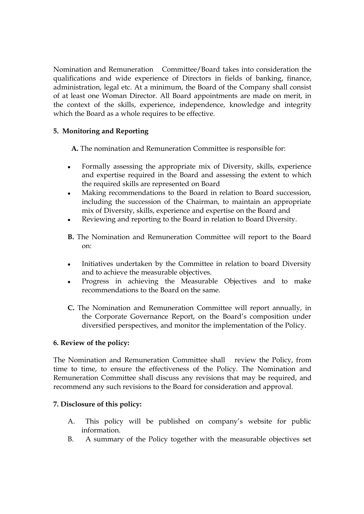Nomination and Remuneration Committee/Board takes into consideration the qualifications and wide experience of Directors in fields of banking, finance, administration, legal etc. At a minimum, the Board of the Company shall consist of at least one Woman Director. All Board appointments are made on merit, in the context of the skills, experience, independence, knowledge and integrity which the Board as a whole requires to be effective.

## **5. Monitoring and Reporting**

**A.** The nomination and Remuneration Committee is responsible for:

- Formally assessing the appropriate mix of Diversity, skills, experience and expertise required in the Board and assessing the extent to which the required skills are represented on Board
- Making recommendations to the Board in relation to Board succession, including the succession of the Chairman, to maintain an appropriate mix of Diversity, skills, experience and expertise on the Board and
- Reviewing and reporting to the Board in relation to Board Diversity.
- **B.** The Nomination and Remuneration Committee will report to the Board on:
- Initiatives undertaken by the Committee in relation to board Diversity and to achieve the measurable objectives.
- Progress in achieving the Measurable Objectives and to make recommendations to the Board on the same.
- **C.** The Nomination and Remuneration Committee will report annually, in the Corporate Governance Report, on the Board's composition under diversified perspectives, and monitor the implementation of the Policy.

#### **6. Review of the policy:**

The Nomination and Remuneration Committee shall review the Policy, from time to time, to ensure the effectiveness of the Policy. The Nomination and Remuneration Committee shall discuss any revisions that may be required, and recommend any such revisions to the Board for consideration and approval.

## **7. Disclosure of this policy:**

- A. This policy will be published on company's website for public information.
- B. A summary of the Policy together with the measurable objectives set